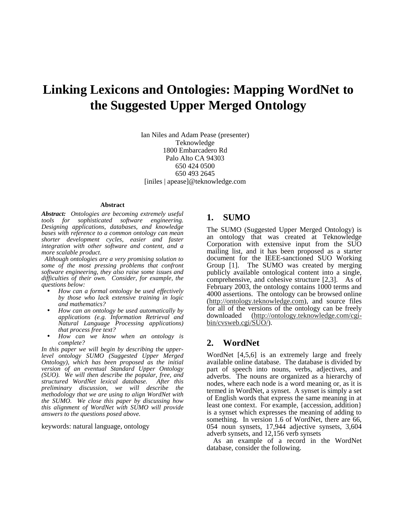# **Linking Lexicons and Ontologies: Mapping WordNet to the Suggested Upper Merged Ontology**

Ian Niles and Adam Pease (presenter) Teknowledge 1800 Embarcadero Rd Palo Alto CA 94303 650 424 0500 650 493 2645 [iniles | apease]@teknowledge.com

#### **Abstract**

*Abstract: Ontologies are becoming extremely useful tools for sophisticated software engineering. Designing applications, databases, and knowledge bases with reference to a common ontology can mean shorter development cycles, easier and faster integration with other software and content, and a more scalable product.* 

 *Although ontologies are a very promising solution to some of the most pressing problems that confront software engineering, they also raise some issues and difficulties of their own. Consider, for example, the questions below:* 

- *How can a formal ontology be used effectively by those who lack extensive training in logic and mathematics?*
- *How can an ontology be used automatically by applications (e.g. Information Retrieval and Natural Language Processing applications) that process free text?*
- *How can we know when an ontology is complete?*

*In this paper we will begin by describing the upperlevel ontology SUMO (Suggested Upper Merged Ontology), which has been proposed as the initial version of an eventual Standard Upper Ontology (SUO). We will then describe the popular, free, and structured WordNet lexical database. After this preliminary discussion, we will describe the methodology that we are using to align WordNet with the SUMO. We close this paper by discussing how this alignment of WordNet with SUMO will provide answers to the questions posed above.* 

keywords: natural language, ontology

#### **1. SUMO**

The SUMO (Suggested Upper Merged Ontology) is an ontology that was created at Teknowledge Corporation with extensive input from the SUO mailing list, and it has been proposed as a starter document for the IEEE-sanctioned SUO Working Group [1]. The SUMO was created by merging publicly available ontological content into a single, comprehensive, and cohesive structure [2,3]. As of February 2003, the ontology contains 1000 terms and 4000 assertions. The ontology can be browsed online (http://ontology.teknowledge.com), and source files for all of the versions of the ontology can be freely downloaded (http://ontology.teknowledge.com/cgi- $(\text{http://ontology.teknowledge.com/cgi-})$ bin/cvsweb.cgi/SUO/).

#### **2. WordNet**

WordNet [4,5,6] is an extremely large and freely available online database. The database is divided by part of speech into nouns, verbs, adjectives, and adverbs. The nouns are organized as a hierarchy of nodes, where each node is a word meaning or, as it is termed in WordNet, a synset. A synset is simply a set of English words that express the same meaning in at least one context. For example, {accession, addition} is a synset which expresses the meaning of adding to something. In version 1.6 of WordNet, there are 66, 054 noun synsets, 17,944 adjective synsets, 3,604 adverb synsets, and 12,156 verb synsets

 As an example of a record in the WordNet database, consider the following.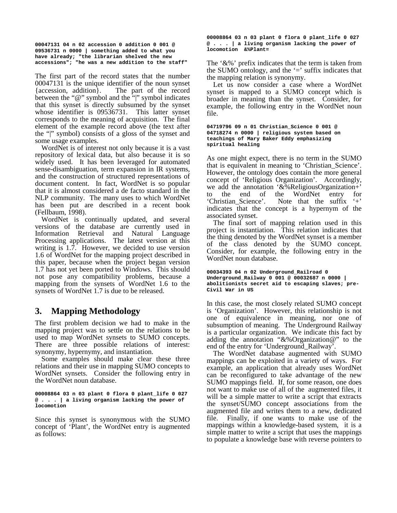**00047131 04 n 02 accession 0 addition 0 001 @ 09536731 n 0000 | something added to what you have already; "the librarian shelved the new accessions"; "he was a new addition to the staff"** 

The first part of the record states that the number 00047131 is the unique identifier of the noun synset { $accession$ , addition}. The part of the record The part of the record between the " $@$ " symbol and the """ symbol indicates that this synset is directly subsumed by the synset whose identifier is 09536731. This latter synset corresponds to the meaning of acquisition. The final element of the example record above (the text after the "|" symbol) consists of a gloss of the synset and some usage examples.

 WordNet is of interest not only because it is a vast repository of lexical data, but also because it is so widely used. It has been leveraged for automated sense-disambiguation, term expansion in IR systems, and the construction of structured representations of document content. In fact, WordNet is so popular that it is almost considered a de facto standard in the NLP community. The many uses to which WordNet has been put are described in a recent book (Fellbaum, 1998).

 WordNet is continually updated, and several versions of the database are currently used in Information Retrieval and Natural Language Processing applications. The latest version at this writing is 1.7. However, we decided to use version 1.6 of WordNet for the mapping project described in this paper, because when the project began version 1.7 has not yet been ported to Windows. This should not pose any compatibility problems, because a mapping from the synsets of WordNet 1.6 to the synsets of WordNet 1.7 is due to be released.

### **3. Mapping Methodology**

The first problem decision we had to make in the mapping project was to settle on the relations to be used to map WordNet synsets to SUMO concepts. There are three possible relations of interest: synonymy, hypernymy, and instantiation.

 Some examples should make clear these three relations and their use in mapping SUMO concepts to WordNet synsets. Consider the following entry in the WordNet noun database.

**00008864 03 n 03 plant 0 flora 0 plant\_life 0 027 @ . . . | a living organism lacking the power of locomotion** 

Since this synset is synonymous with the SUMO concept of 'Plant', the WordNet entry is augmented as follows:

**00008864 03 n 03 plant 0 flora 0 plant\_life 0 027 @ . . . | a living organism lacking the power of locomotion &%Plant=** 

The '&%' prefix indicates that the term is taken from the SUMO ontology, and the  $\equiv$  suffix indicates that the mapping relation is synonymy.

 Let us now consider a case where a WordNet synset is mapped to a SUMO concept which is broader in meaning than the synset. Consider, for example, the following entry in the WordNet noun file.

**04719796 09 n 01 Christian\_Science 0 001 @ 04718274 n 0000 | religious system based on teachings of Mary Baker Eddy emphasizing spiritual healing** 

As one might expect, there is no term in the SUMO that is equivalent in meaning to 'Christian\_Science'. However, the ontology does contain the more general concept of 'Religious Organization'. Accordingly, we add the annotation '&%ReligiousOrganization+' to the end of the WordNet entry for 'Christian\_Science'. Note that the suffix '+' indicates that the concept is a hypernym of the associated synset.

 The final sort of mapping relation used in this project is instantiation. This relation indicates that the thing denoted by the WordNet synset is a member of the class denoted by the SUMO concept. Consider, for example, the following entry in the WordNet noun database.

```
00034393 04 n 02 Underground_Railroad 0 
Underground_Railway 0 001 @ 00032687 n 0000 | 
abolitionists secret aid to escaping slaves; pre-
Civil War in US
```
In this case, the most closely related SUMO concept is 'Organization'. However, this relationship is not one of equivalence in meaning, nor one of subsumption of meaning. The Underground Railway is a particular organization. We indicate this fact by adding the annotation "&%Organization@" to the end of the entry for 'Underground\_Railway'.

 The WordNet database augmented with SUMO mappings can be exploited in a variety of ways. For example, an application that already uses WordNet can be reconfigured to take advantage of the new SUMO mappings field. If, for some reason, one does not want to make use of all of the augmented files, it will be a simple matter to write a script that extracts the synset/SUMO concept associations from the augmented file and writes them to a new, dedicated file. Finally, if one wants to make use of the mappings within a knowledge-based system, it is a simple matter to write a script that uses the mappings to populate a knowledge base with reverse pointers to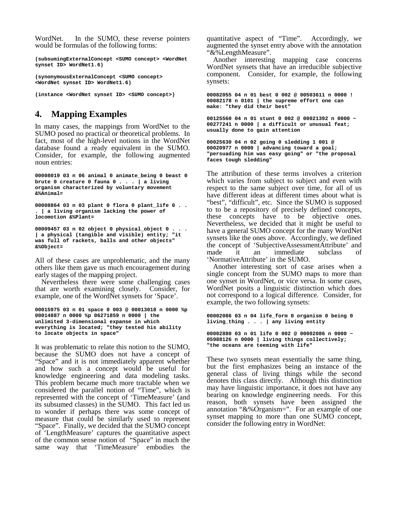WordNet. In the SUMO, these reverse pointers would be formulas of the following forms:

**(subsumingExternalConcept <SUMO concept> <WordNet synset ID> WordNet1.6)** 

**(synonymousExternalConcept <SUMO concept> <WordNet synset ID> WordNet1.6)** 

**(instance <WordNet synset ID> <SUMO concept>)** 

# **4. Mapping Examples**

In many cases, the mappings from WordNet to the SUMO posed no practical or theoretical problems. In fact, most of the high-level notions in the WordNet database found a ready equivalent in the SUMO. Consider, for example, the following augmented noun entries:

**00008019 03 n 06 animal 0 animate\_being 0 beast 0 brute 0 creature 0 fauna 0 . . . | a living organism characterized by voluntary movement &%Animal=** 

**00008864 03 n 03 plant 0 flora 0 plant\_life 0 . . . | a living organism lacking the power of locomotion &%Plant=** 

**00009457 03 n 02 object 0 physical\_object 0 . . . | a physical (tangible and visible) entity; "it was full of rackets, balls and other objects" &%Object=** 

All of these cases are unproblematic, and the many others like them gave us much encouragement during early stages of the mapping project.

 Nevertheless there were some challenging cases that are worth examining closely. Consider, for example, one of the WordNet synsets for 'Space'.

```
00015975 03 n 01 space 0 003 @ 00013018 n 0000 %p 
00014887 n 0000 %p 06271859 n 0000 | the 
unlimited 3-dimensional expanse in which 
everything is located; "they tested his ability 
to locate objects in space"
```
It was problematic to relate this notion to the SUMO, because the SUMO does not have a concept of "Space" and it is not immediately apparent whether and how such a concept would be useful for knowledge engineering and data modeling tasks. This problem became much more tractable when we considered the parallel notion of "Time", which is represented with the concept of 'TimeMeasure' (and its subsumed classes) in the SUMO. This fact led us to wonder if perhaps there was some concept of measure that could be similarly used to represent "Space". Finally, we decided that the SUMO concept of 'LengthMeasure' captures the quantitative aspect of the common sense notion of "Space" in much the same way that 'TimeMeasure' embodies the

quantitative aspect of "Time". Accordingly, we augmented the synset entry above with the annotation "&%LengthMeasure".

 Another interesting mapping case concerns WordNet synsets that have an irreducible subjective component. Consider, for example, the following synsets:

**00082055 04 n 01 best 0 002 @ 00503611 n 0000 ! 00082178 n 0101 | the supreme effort one can make: "they did their best"** 

**00125560 04 n 01 stunt 0 002 @ 00021392 n 0000 ~ 00277241 n 0000 | a difficult or unusual feat; usually done to gain attention** 

**00025630 04 n 02 going 0 sledding 1 001 @ 00020977 n 0000 | advancing toward a goal; "persuading him was easy going" or "the proposal faces tough sledding"** 

The attribution of these terms involves a criterion which varies from subject to subject and even with respect to the same subject over time, for all of us have different ideas at different times about what is "best", "difficult", etc. Since the SUMO is supposed to to be a repository of precisely defined concepts, these concepts have to be objective ones. Nevertheless, we decided that it might be useful to have a general SUMO concept for the many WordNet synsets like the ones above. Accordingly, we defined the concept of 'SubjectiveAssessmentAttribute' and made it an immediate subclass of 'NormativeAttribute' in the SUMO.

 Another interesting sort of case arises when a single concept from the SUMO maps to more than one synset in WordNet, or vice versa. In some cases, WordNet posits a linguistic distinction which does not correspond to a logical difference. Consider, for example, the two following synsets:

```
00002086 03 n 04 life_form 0 organism 0 being 0 
living_thing . . . | any living entity 
00002880 03 n 01 life 0 002 @ 00002086 n 0000 ~ 
05988126 n 0000 | living things collectively;
```

```
"the oceans are teeming with life"
```
These two synsets mean essentially the same thing, but the first emphasizes being an instance of the general class of living things while the second denotes this class directly. Although this distinction may have linguistic importance, it does not have any bearing on knowledge engineering needs. For this reason, both synsets have been assigned the annotation "&%Organism=". For an example of one synset mapping to more than one SUMO concept, consider the following entry in WordNet: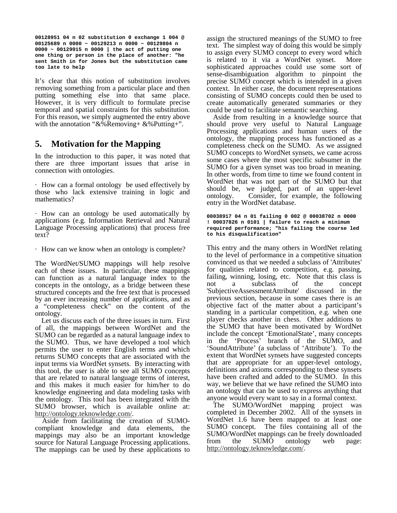**00128951 04 n 02 substitution 0 exchange 1 004 @ 00125689 n 0000 ~ 00129213 n 0000 ~ 00129804 n 0000 ~ 00129915 n 0000 | the act of putting one one thing or person in the place of another: "he sent Smith in for Jones but the substitution came too late to help** 

It's clear that this notion of substitution involves removing something from a particular place and then putting something else into that same place. However, it is very difficult to formulate precise temporal and spatial constraints for this substitution. For this reason, we simply augmented the entry above with the annotation " $&\&\%$  Removing+  $&\&\%$  Putting+".

#### **5. Motivation for the Mapping**

In the introduction to this paper, it was noted that there are three important issues that arise in connection with ontologies.

· How can a formal ontology be used effectively by those who lack extensive training in logic and mathematics?

· How can an ontology be used automatically by applications (e.g. Information Retrieval and Natural Language Processing applications) that process free text?

· How can we know when an ontology is complete?

The WordNet/SUMO mappings will help resolve each of these issues. In particular, these mappings can function as a natural language index to the concepts in the ontology, as a bridge between these structured concepts and the free text that is processed by an ever increasing number of applications, and as a "completeness check" on the content of the ontology.

 Let us discuss each of the three issues in turn. First of all, the mappings between WordNet and the SUMO can be regarded as a natural language index to the SUMO. Thus, we have developed a tool which permits the user to enter English terms and which returns SUMO concepts that are associated with the input terms via WordNet synsets. By interacting with this tool, the user is able to see all SUMO concepts that are related to natural language terms of interest, and this makes it much easier for him/her to do knowledge engineering and data modeling tasks with the ontology. This tool has been integrated with the SUMO browser, which is available online at: http://ontology.teknowledge.com/. Aside from facilitating the creation of SUMO-

compliant knowledge and data elements, the mappings may also be an important knowledge source for Natural Language Processing applications. The mappings can be used by these applications to assign the structured meanings of the SUMO to free text. The simplest way of doing this would be simply to assign every SUMO concept to every word which is related to it via a WordNet synset. More sophisticated approaches could use some sort of sense-disambiguation algorithm to pinpoint the precise SUMO concept which is intended in a given context. In either case, the document representations consisting of SUMO concepts could then be used to create automatically generated summaries or they could be used to facilitate semantic searching.

 Aside from resulting in a knowledge source that should prove very useful to Natural Language Processing applications and human users of the ontology, the mapping process has functioned as a completeness check on the SUMO. As we assigned SUMO concepts to WordNet synsets, we came across some cases where the most specific subsumer in the SUMO for a given synset was too broad in meaning. In other words, from time to time we found content in WordNet that was not part of the SUMO but that should be, we judged, part of an upper-level ontology. Consider, for example, the following Consider, for example, the following entry in the WordNet database.

```
00038917 04 n 01 failing 0 002 @ 00038702 n 0000 
! 00037826 n 0101 | failure to reach a minimum 
required performance; "his failing the course led 
to his disqualification"
```
This entry and the many others in WordNet relating to the level of performance in a competitive situation convinced us that we needed a subclass of 'Attributes' for qualities related to competition, e.g. passing, failing, winning, losing, etc. Note that this class is not a subclass of the concept 'SubjectiveAssessmentAttribute' discussed in the previous section, because in some cases there is an objective fact of the matter about a participant's standing in a particular competition, e.g. when one player checks another in chess. Other additions to the SUMO that have been motivated by WordNet include the concept 'EmotionalState', many concepts in the 'Process' branch of the SUMO, and 'SoundAttribute' (a subclass of 'Attribute'). To the extent that WordNet synsets have suggested concepts that are appropriate for an upper-level ontology, definitions and axioms corresponding to these synsets have been crafted and added to the SUMO. In this way, we believe that we have refined the SUMO into an ontology that can be used to express anything that anyone would every want to say in a formal context.

 The SUMO/WordNet mapping project was completed in December 2002. All of the synsets in WordNet 1.6 have been mapped to at least one SUMO concept. The files containing all of the SUMO/WordNet mappings can be freely downloaded<br>from the SUMO ontology web page: the SUMO ontology web page: http://ontology.teknowledge.com/.